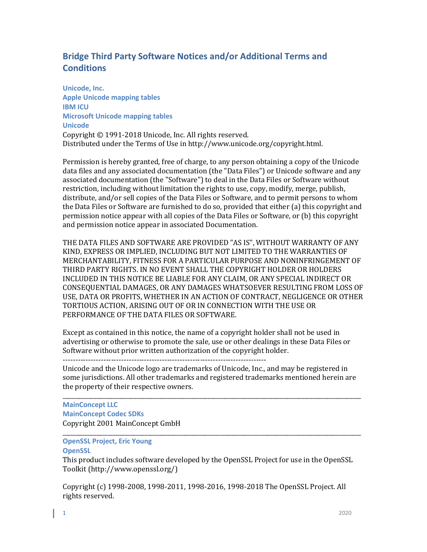# **Bridge Third Party Software Notices and/or Additional Terms and Conditions**

**Unicode, Inc. Apple Unicode mapping tables IBM ICU Microsoft Unicode mapping tables Unicode** Copyright © 1991-2018 Unicode, Inc. All rights reserved. Distributed under the Terms of Use in http://www.unicode.org/copyright.html.

Permission is hereby granted, free of charge, to any person obtaining a copy of the Unicode data files and any associated documentation (the "Data Files") or Unicode software and any associated documentation (the "Software") to deal in the Data Files or Software without restriction, including without limitation the rights to use, copy, modify, merge, publish, distribute, and/or sell copies of the Data Files or Software, and to permit persons to whom the Data Files or Software are furnished to do so, provided that either (a) this copyright and permission notice appear with all copies of the Data Files or Software, or (b) this copyright and permission notice appear in associated Documentation.

THE DATA FILES AND SOFTWARE ARE PROVIDED "AS IS", WITHOUT WARRANTY OF ANY KIND, EXPRESS OR IMPLIED, INCLUDING BUT NOT LIMITED TO THE WARRANTIES OF MERCHANTABILITY, FITNESS FOR A PARTICULAR PURPOSE AND NONINFRINGEMENT OF THIRD PARTY RIGHTS. IN NO EVENT SHALL THE COPYRIGHT HOLDER OR HOLDERS INCLUDED IN THIS NOTICE BE LIABLE FOR ANY CLAIM, OR ANY SPECIAL INDIRECT OR CONSEQUENTIAL DAMAGES, OR ANY DAMAGES WHATSOEVER RESULTING FROM LOSS OF USE, DATA OR PROFITS, WHETHER IN AN ACTION OF CONTRACT, NEGLIGENCE OR OTHER TORTIOUS ACTION, ARISING OUT OF OR IN CONNECTION WITH THE USE OR PERFORMANCE OF THE DATA FILES OR SOFTWARE.

Except as contained in this notice, the name of a copyright holder shall not be used in advertising or otherwise to promote the sale, use or other dealings in these Data Files or Software without prior written authorization of the copyright holder.

--------------------------------------------------------------------------------

Unicode and the Unicode logo are trademarks of Unicode, Inc., and may be registered in some jurisdictions. All other trademarks and registered trademarks mentioned herein are the property of their respective owners.

\_\_\_\_\_\_\_\_\_\_\_\_\_\_\_\_\_\_\_\_\_\_\_\_\_\_\_\_\_\_\_\_\_\_\_\_\_\_\_\_\_\_\_\_\_\_\_\_\_\_\_\_\_\_\_\_\_\_\_\_\_\_\_\_\_\_\_\_\_\_\_\_\_\_\_\_\_\_\_\_\_\_\_\_\_\_\_\_\_\_\_\_\_\_\_\_\_\_\_\_\_\_\_\_\_ **MainConcept LLC MainConcept Codec SDKs** Copyright 2001 MainConcept GmbH

\_\_\_\_\_\_\_\_\_\_\_\_\_\_\_\_\_\_\_\_\_\_\_\_\_\_\_\_\_\_\_\_\_\_\_\_\_\_\_\_\_\_\_\_\_\_\_\_\_\_\_\_\_\_\_\_\_\_\_\_\_\_\_\_\_\_\_\_\_\_\_\_\_\_\_\_\_\_\_\_\_\_\_\_\_\_\_\_\_\_\_\_\_\_\_\_\_\_\_\_\_\_\_\_\_ **OpenSSL Project, Eric Young OpenSSL**

This product includes software developed by the OpenSSL Project for use in the OpenSSL Toolkit (http://www.openssl.org/)

Copyright (c) 1998-2008, 1998-2011, 1998-2016, 1998-2018 The OpenSSL Project. All rights reserved.

i<br>L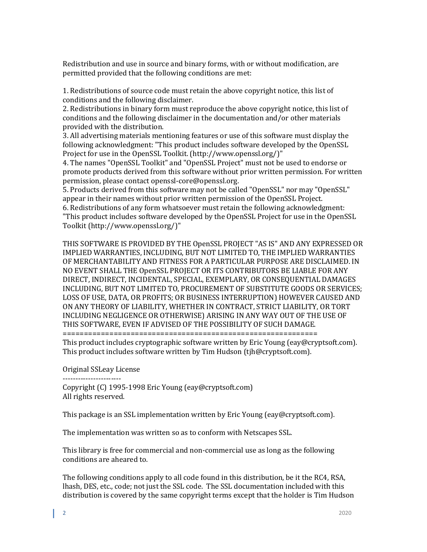Redistribution and use in source and binary forms, with or without modification, are permitted provided that the following conditions are met:

1. Redistributions of source code must retain the above copyright notice, this list of conditions and the following disclaimer.

2. Redistributions in binary form must reproduce the above copyright notice, this list of conditions and the following disclaimer in the documentation and/or other materials provided with the distribution.

3. All advertising materials mentioning features or use of this software must display the following acknowledgment: "This product includes software developed by the OpenSSL Project for use in the OpenSSL Toolkit. (http://www.openssl.org/)"

4. The names "OpenSSL Toolkit" and "OpenSSL Project" must not be used to endorse or promote products derived from this software without prior written permission. For written permission, please contact openssl-core@openssl.org.

5. Products derived from this software may not be called "OpenSSL" nor may "OpenSSL" appear in their names without prior written permission of the OpenSSL Project.

6. Redistributions of any form whatsoever must retain the following acknowledgment: "This product includes software developed by the OpenSSL Project for use in the OpenSSL Toolkit (http://www.openssl.org/)"

THIS SOFTWARE IS PROVIDED BY THE OpenSSL PROJECT "AS IS" AND ANY EXPRESSED OR IMPLIED WARRANTIES, INCLUDING, BUT NOT LIMITED TO, THE IMPLIED WARRANTIES OF MERCHANTABILITY AND FITNESS FOR A PARTICULAR PURPOSE ARE DISCLAIMED. IN NO EVENT SHALL THE OpenSSL PROJECT OR ITS CONTRIBUTORS BE LIABLE FOR ANY DIRECT, INDIRECT, INCIDENTAL, SPECIAL, EXEMPLARY, OR CONSEQUENTIAL DAMAGES INCLUDING, BUT NOT LIMITED TO, PROCUREMENT OF SUBSTITUTE GOODS OR SERVICES; LOSS OF USE, DATA, OR PROFITS; OR BUSINESS INTERRUPTION) HOWEVER CAUSED AND ON ANY THEORY OF LIABILITY, WHETHER IN CONTRACT, STRICT LIABILITY, OR TORT INCLUDING NEGLIGENCE OR OTHERWISE) ARISING IN ANY WAY OUT OF THE USE OF THIS SOFTWARE, EVEN IF ADVISED OF THE POSSIBILITY OF SUCH DAMAGE.

============================================================

This product includes cryptographic software written by Eric Young (eay@cryptsoft.com). This product includes software written by Tim Hudson (tjh@cryptsoft.com).

Original SSLeay License

----------------------- Copyright (C) 1995-1998 Eric Young (eay@cryptsoft.com) All rights reserved.

This package is an SSL implementation written by Eric Young (eay@cryptsoft.com).

The implementation was written so as to conform with Netscapes SSL.

This library is free for commercial and non-commercial use as long as the following conditions are aheared to.

The following conditions apply to all code found in this distribution, be it the RC4, RSA, lhash, DES, etc., code; not just the SSL code. The SSL documentation included with this distribution is covered by the same copyright terms except that the holder is Tim Hudson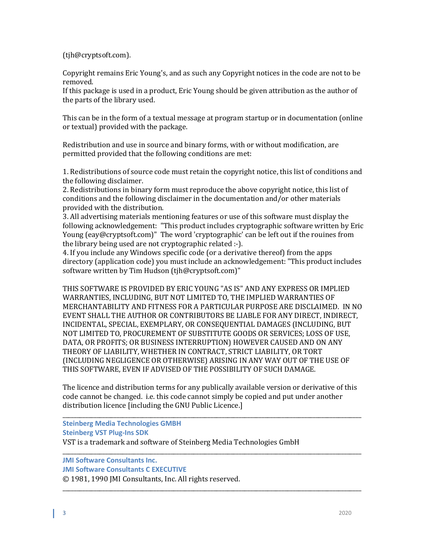(tjh@cryptsoft.com).

Copyright remains Eric Young's, and as such any Copyright notices in the code are not to be removed.

If this package is used in a product, Eric Young should be given attribution as the author of the parts of the library used.

This can be in the form of a textual message at program startup or in documentation (online or textual) provided with the package.

Redistribution and use in source and binary forms, with or without modification, are permitted provided that the following conditions are met:

1. Redistributions of source code must retain the copyright notice, this list of conditions and the following disclaimer.

2. Redistributions in binary form must reproduce the above copyright notice, this list of conditions and the following disclaimer in the documentation and/or other materials provided with the distribution.

3. All advertising materials mentioning features or use of this software must display the following acknowledgement: "This product includes cryptographic software written by Eric Young (eay@cryptsoft.com)" The word 'cryptographic' can be left out if the rouines from the library being used are not cryptographic related :-).

4. If you include any Windows specific code (or a derivative thereof) from the apps directory (application code) you must include an acknowledgement: "This product includes software written by Tim Hudson (tjh@cryptsoft.com)"

THIS SOFTWARE IS PROVIDED BY ERIC YOUNG "AS IS" AND ANY EXPRESS OR IMPLIED WARRANTIES, INCLUDING, BUT NOT LIMITED TO, THE IMPLIED WARRANTIES OF MERCHANTABILITY AND FITNESS FOR A PARTICULAR PURPOSE ARE DISCLAIMED. IN NO EVENT SHALL THE AUTHOR OR CONTRIBUTORS BE LIABLE FOR ANY DIRECT, INDIRECT, INCIDENTAL, SPECIAL, EXEMPLARY, OR CONSEQUENTIAL DAMAGES (INCLUDING, BUT NOT LIMITED TO, PROCUREMENT OF SUBSTITUTE GOODS OR SERVICES; LOSS OF USE, DATA, OR PROFITS; OR BUSINESS INTERRUPTION) HOWEVER CAUSED AND ON ANY THEORY OF LIABILITY, WHETHER IN CONTRACT, STRICT LIABILITY, OR TORT (INCLUDING NEGLIGENCE OR OTHERWISE) ARISING IN ANY WAY OUT OF THE USE OF THIS SOFTWARE, EVEN IF ADVISED OF THE POSSIBILITY OF SUCH DAMAGE.

The licence and distribution terms for any publically available version or derivative of this code cannot be changed. i.e. this code cannot simply be copied and put under another distribution licence [including the GNU Public Licence.]

\_\_\_\_\_\_\_\_\_\_\_\_\_\_\_\_\_\_\_\_\_\_\_\_\_\_\_\_\_\_\_\_\_\_\_\_\_\_\_\_\_\_\_\_\_\_\_\_\_\_\_\_\_\_\_\_\_\_\_\_\_\_\_\_\_\_\_\_\_\_\_\_\_\_\_\_\_\_\_\_\_\_\_\_\_\_\_\_\_\_\_\_\_\_\_\_\_\_\_\_\_\_\_\_\_

\_\_\_\_\_\_\_\_\_\_\_\_\_\_\_\_\_\_\_\_\_\_\_\_\_\_\_\_\_\_\_\_\_\_\_\_\_\_\_\_\_\_\_\_\_\_\_\_\_\_\_\_\_\_\_\_\_\_\_\_\_\_\_\_\_\_\_\_\_\_\_\_\_\_\_\_\_\_\_\_\_\_\_\_\_\_\_\_\_\_\_\_\_\_\_\_\_\_\_\_\_\_\_\_\_ **Steinberg Media Technologies GMBH Steinberg VST Plug-Ins SDK** VST is a trademark and software of Steinberg Media Technologies GmbH

\_\_\_\_\_\_\_\_\_\_\_\_\_\_\_\_\_\_\_\_\_\_\_\_\_\_\_\_\_\_\_\_\_\_\_\_\_\_\_\_\_\_\_\_\_\_\_\_\_\_\_\_\_\_\_\_\_\_\_\_\_\_\_\_\_\_\_\_\_\_\_\_\_\_\_\_\_\_\_\_\_\_\_\_\_\_\_\_\_\_\_\_\_\_\_\_\_\_\_\_\_\_\_\_\_ **JMI Software Consultants Inc.**

**JMI Software Consultants C EXECUTIVE**

© 1981, 1990 JMI Consultants, Inc. All rights reserved.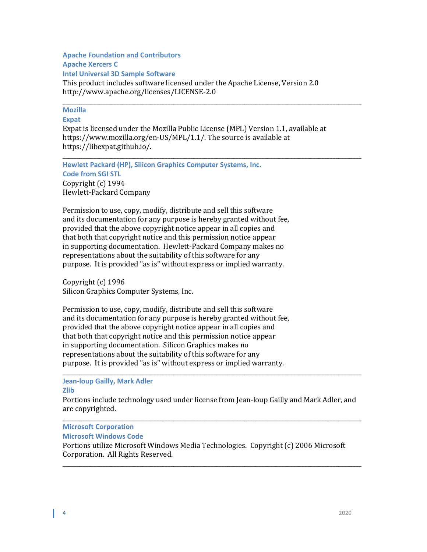# **Apache Foundation and Contributors Apache Xercers C**

**Intel Universal 3D Sample Software**

This product includes software licensed under the Apache License, Version 2.0 http://www.apache.org/licenses/LICENSE-2.0

#### \_\_\_\_\_\_\_\_\_\_\_\_\_\_\_\_\_\_\_\_\_\_\_\_\_\_\_\_\_\_\_\_\_\_\_\_\_\_\_\_\_\_\_\_\_\_\_\_\_\_\_\_\_\_\_\_\_\_\_\_\_\_\_\_\_\_\_\_\_\_\_\_\_\_\_\_\_\_\_\_\_\_\_\_\_\_\_\_\_\_\_\_\_\_\_\_\_\_\_\_\_\_\_\_\_ **Mozilla**

### **Expat**

Expat is licensed under the Mozilla Public License (MPL) Version 1.1, available at https://www.mozilla.org/en-US/MPL/1.1/. The source is available at https://libexpat.github.io/.

\_\_\_\_\_\_\_\_\_\_\_\_\_\_\_\_\_\_\_\_\_\_\_\_\_\_\_\_\_\_\_\_\_\_\_\_\_\_\_\_\_\_\_\_\_\_\_\_\_\_\_\_\_\_\_\_\_\_\_\_\_\_\_\_\_\_\_\_\_\_\_\_\_\_\_\_\_\_\_\_\_\_\_\_\_\_\_\_\_\_\_\_\_\_\_\_\_\_\_\_\_\_\_\_\_ **Hewlett Packard (HP), Silicon Graphics Computer Systems, Inc. Code from SGI STL**  Copyright (c) 1994 Hewlett-Packard Company

Permission to use, copy, modify, distribute and sell this software and its documentation for any purpose is hereby granted without fee, provided that the above copyright notice appear in all copies and that both that copyright notice and this permission notice appear in supporting documentation. Hewlett-Packard Company makes no representations about the suitability of this software for any purpose. It is provided "as is" without express or implied warranty.

Copyright (c) 1996 Silicon Graphics Computer Systems, Inc.

Permission to use, copy, modify, distribute and sell this software and its documentation for any purpose is hereby granted without fee, provided that the above copyright notice appear in all copies and that both that copyright notice and this permission notice appear in supporting documentation. Silicon Graphics makes no representations about the suitability of this software for any purpose. It is provided "as is" without express or implied warranty.

\_\_\_\_\_\_\_\_\_\_\_\_\_\_\_\_\_\_\_\_\_\_\_\_\_\_\_\_\_\_\_\_\_\_\_\_\_\_\_\_\_\_\_\_\_\_\_\_\_\_\_\_\_\_\_\_\_\_\_\_\_\_\_\_\_\_\_\_\_\_\_\_\_\_\_\_\_\_\_\_\_\_\_\_\_\_\_\_\_\_\_\_\_\_\_\_\_\_\_\_\_\_\_\_\_ **Jean-loup Gailly, Mark Adler**

## **Zlib**

Portions include technology used under license from Jean-loup Gailly and Mark Adler, and are copyrighted.

#### \_\_\_\_\_\_\_\_\_\_\_\_\_\_\_\_\_\_\_\_\_\_\_\_\_\_\_\_\_\_\_\_\_\_\_\_\_\_\_\_\_\_\_\_\_\_\_\_\_\_\_\_\_\_\_\_\_\_\_\_\_\_\_\_\_\_\_\_\_\_\_\_\_\_\_\_\_\_\_\_\_\_\_\_\_\_\_\_\_\_\_\_\_\_\_\_\_\_\_\_\_\_\_\_\_ **Microsoft Corporation**

**Microsoft Windows Code**

Portions utilize Microsoft Windows Media Technologies. Copyright (c) 2006 Microsoft Corporation. All Rights Reserved.

\_\_\_\_\_\_\_\_\_\_\_\_\_\_\_\_\_\_\_\_\_\_\_\_\_\_\_\_\_\_\_\_\_\_\_\_\_\_\_\_\_\_\_\_\_\_\_\_\_\_\_\_\_\_\_\_\_\_\_\_\_\_\_\_\_\_\_\_\_\_\_\_\_\_\_\_\_\_\_\_\_\_\_\_\_\_\_\_\_\_\_\_\_\_\_\_\_\_\_\_\_\_\_\_\_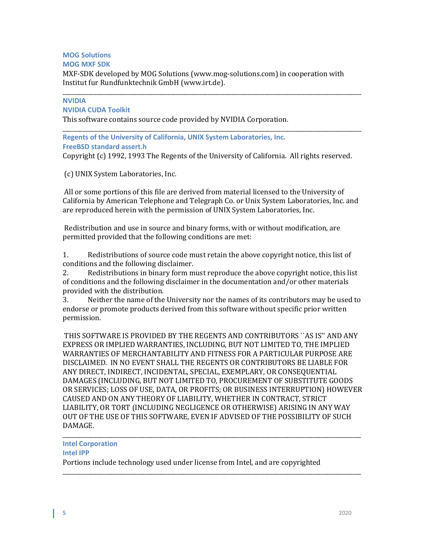# **MOG Solutions**

## **MOG MXF SDK**

MXF-SDK developed by MOG Solutions (www.mog-solutions.com) in cooperation with Institut fur Rundfunktechnik GmbH (www.irt.de).

#### \_\_\_\_\_\_\_\_\_\_\_\_\_\_\_\_\_\_\_\_\_\_\_\_\_\_\_\_\_\_\_\_\_\_\_\_\_\_\_\_\_\_\_\_\_\_\_\_\_\_\_\_\_\_\_\_\_\_\_\_\_\_\_\_\_\_\_\_\_\_\_\_\_\_\_\_\_\_\_\_\_\_\_\_\_\_\_\_\_\_\_\_\_\_\_\_\_\_\_\_\_\_\_\_\_ **NVIDIA**

## **NVIDIA CUDA Toolkit**

This software contains source code provided by NVIDIA Corporation.

#### \_\_\_\_\_\_\_\_\_\_\_\_\_\_\_\_\_\_\_\_\_\_\_\_\_\_\_\_\_\_\_\_\_\_\_\_\_\_\_\_\_\_\_\_\_\_\_\_\_\_\_\_\_\_\_\_\_\_\_\_\_\_\_\_\_\_\_\_\_\_\_\_\_\_\_\_\_\_\_\_\_\_\_\_\_\_\_\_\_\_\_\_\_\_\_\_\_\_\_\_\_\_\_\_\_ **Regents of the University of California, UNIX System Laboratories, Inc. FreeBSD standard assert.h**

Copyright (c) 1992, 1993 The Regents of the University of California. All rights reserved.

(c) UNIX System Laboratories, Inc.

All or some portions of this file are derived from material licensed to the University of California by American Telephone and Telegraph Co. or Unix System Laboratories, Inc. and are reproduced herein with the permission of UNIX System Laboratories, Inc.

Redistribution and use in source and binary forms, with or without modification, are permitted provided that the following conditions are met:

1. Redistributions of source code must retain the above copyright notice, this list of conditions and the following disclaimer.<br>2. Redistributions in binary form m

2. Redistributions in binary form must reproduce the above copyright notice, this list of conditions and the following disclaimer in the documentation and/or other materials provided with the distribution.<br>3. Neither the name of the

3. Neither the name of the University nor the names of its contributors may be used to endorse or promote products derived from this software without specific prior written permission.

THIS SOFTWARE IS PROVIDED BY THE REGENTS AND CONTRIBUTORS ``AS IS'' AND ANY EXPRESS OR IMPLIED WARRANTIES, INCLUDING, BUT NOT LIMITED TO, THE IMPLIED WARRANTIES OF MERCHANTABILITY AND FITNESS FOR A PARTICULAR PURPOSE ARE DISCLAIMED. IN NO EVENT SHALL THE REGENTS OR CONTRIBUTORS BE LIABLE FOR ANY DIRECT, INDIRECT, INCIDENTAL, SPECIAL, EXEMPLARY, OR CONSEQUENTIAL DAMAGES (INCLUDING, BUT NOT LIMITED TO, PROCUREMENT OF SUBSTITUTE GOODS OR SERVICES; LOSS OF USE, DATA, OR PROFITS; OR BUSINESS INTERRUPTION) HOWEVER CAUSED AND ON ANY THEORY OF LIABILITY, WHETHER IN CONTRACT, STRICT LIABILITY, OR TORT (INCLUDING NEGLIGENCE OR OTHERWISE) ARISING IN ANY WAY OUT OF THE USE OF THIS SOFTWARE, EVEN IF ADVISED OF THE POSSIBILITY OF SUCH DAMAGE.

\_\_\_\_\_\_\_\_\_\_\_\_\_\_\_\_\_\_\_\_\_\_\_\_\_\_\_\_\_\_\_\_\_\_\_\_\_\_\_\_\_\_\_\_\_\_\_\_\_\_\_\_\_\_\_\_\_\_\_\_\_\_\_\_\_\_\_\_\_\_\_\_\_\_\_\_\_\_\_\_\_\_\_\_\_\_\_\_\_\_\_\_\_\_\_\_\_\_\_\_\_\_\_\_\_

#### \_\_\_\_\_\_\_\_\_\_\_\_\_\_\_\_\_\_\_\_\_\_\_\_\_\_\_\_\_\_\_\_\_\_\_\_\_\_\_\_\_\_\_\_\_\_\_\_\_\_\_\_\_\_\_\_\_\_\_\_\_\_\_\_\_\_\_\_\_\_\_\_\_\_\_\_\_\_\_\_\_\_\_\_\_\_\_\_\_\_\_\_\_\_\_\_\_\_\_\_\_\_\_\_\_ **Intel Corporation Intel IPP**

Portions include technology used under license from Intel, and are copyrighted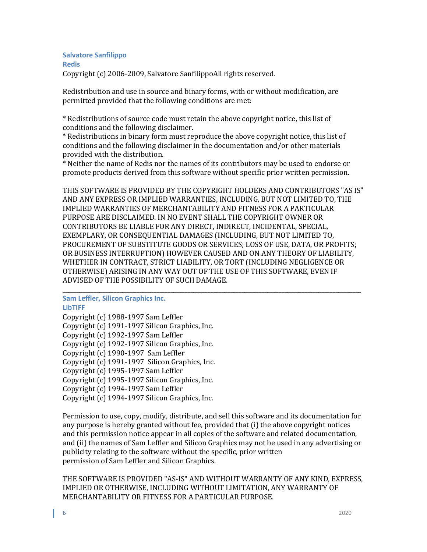# **Salvatore Sanfilippo Redis**

Copyright (c) 2006-2009, Salvatore SanfilippoAll rights reserved.

Redistribution and use in source and binary forms, with or without modification, are permitted provided that the following conditions are met:

\* Redistributions of source code must retain the above copyright notice, this list of conditions and the following disclaimer.

\* Redistributions in binary form must reproduce the above copyright notice, this list of conditions and the following disclaimer in the documentation and/or other materials provided with the distribution.

\* Neither the name of Redis nor the names of its contributors may be used to endorse or promote products derived from this software without specific prior written permission.

THIS SOFTWARE IS PROVIDED BY THE COPYRIGHT HOLDERS AND CONTRIBUTORS "AS IS" AND ANY EXPRESS OR IMPLIED WARRANTIES, INCLUDING, BUT NOT LIMITED TO, THE IMPLIED WARRANTIES OF MERCHANTABILITY AND FITNESS FOR A PARTICULAR PURPOSE ARE DISCLAIMED. IN NO EVENT SHALL THE COPYRIGHT OWNER OR CONTRIBUTORS BE LIABLE FOR ANY DIRECT, INDIRECT, INCIDENTAL, SPECIAL, EXEMPLARY, OR CONSEQUENTIAL DAMAGES (INCLUDING, BUT NOT LIMITED TO, PROCUREMENT OF SUBSTITUTE GOODS OR SERVICES; LOSS OF USE, DATA, OR PROFITS; OR BUSINESS INTERRUPTION) HOWEVER CAUSED AND ON ANY THEORY OF LIABILITY, WHETHER IN CONTRACT, STRICT LIABILITY, OR TORT (INCLUDING NEGLIGENCE OR OTHERWISE) ARISING IN ANY WAY OUT OF THE USE OF THIS SOFTWARE, EVEN IF ADVISED OF THE POSSIBILITY OF SUCH DAMAGE.

#### \_\_\_\_\_\_\_\_\_\_\_\_\_\_\_\_\_\_\_\_\_\_\_\_\_\_\_\_\_\_\_\_\_\_\_\_\_\_\_\_\_\_\_\_\_\_\_\_\_\_\_\_\_\_\_\_\_\_\_\_\_\_\_\_\_\_\_\_\_\_\_\_\_\_\_\_\_\_\_\_\_\_\_\_\_\_\_\_\_\_\_\_\_\_\_\_\_\_\_\_\_\_\_\_\_ **Sam Leffler, Silicon Graphics Inc. LibTIFF**

Copyright (c) 1988-1997 Sam Leffler Copyright (c) 1991-1997 Silicon Graphics, Inc. Copyright (c) 1992-1997 Sam Leffler Copyright (c) 1992-1997 Silicon Graphics, Inc. Copyright (c) 1990-1997 Sam Leffler Copyright (c) 1991-1997 Silicon Graphics, Inc. Copyright (c) 1995-1997 Sam Leffler Copyright (c) 1995-1997 Silicon Graphics, Inc. Copyright (c) 1994-1997 Sam Leffler Copyright (c) 1994-1997 Silicon Graphics, Inc.

Permission to use, copy, modify, distribute, and sell this software and its documentation for any purpose is hereby granted without fee, provided that (i) the above copyright notices and this permission notice appear in all copies of the software and related documentation, and (ii) the names of Sam Leffler and Silicon Graphics may not be used in any advertising or publicity relating to the software without the specific, prior written permission of Sam Leffler and Silicon Graphics.

THE SOFTWARE IS PROVIDED "AS-IS" AND WITHOUT WARRANTY OF ANY KIND, EXPRESS, IMPLIED OR OTHERWISE, INCLUDING WITHOUT LIMITATION, ANY WARRANTY OF MERCHANTABILITY OR FITNESS FOR A PARTICULAR PURPOSE.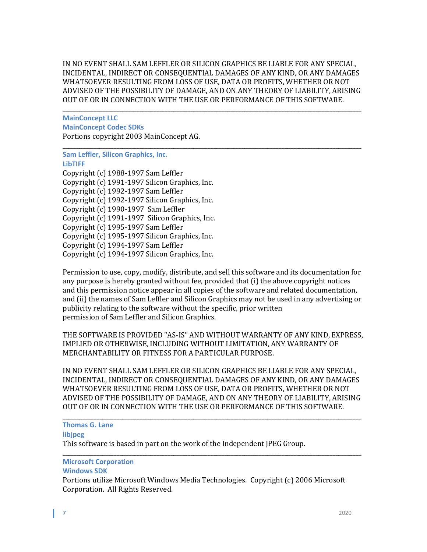IN NO EVENT SHALL SAM LEFFLER OR SILICON GRAPHICS BE LIABLE FOR ANY SPECIAL, INCIDENTAL, INDIRECT OR CONSEQUENTIAL DAMAGES OF ANY KIND, OR ANY DAMAGES WHATSOEVER RESULTING FROM LOSS OF USE, DATA OR PROFITS, WHETHER OR NOT ADVISED OF THE POSSIBILITY OF DAMAGE, AND ON ANY THEORY OF LIABILITY, ARISING OUT OF OR IN CONNECTION WITH THE USE OR PERFORMANCE OF THIS SOFTWARE.

\_\_\_\_\_\_\_\_\_\_\_\_\_\_\_\_\_\_\_\_\_\_\_\_\_\_\_\_\_\_\_\_\_\_\_\_\_\_\_\_\_\_\_\_\_\_\_\_\_\_\_\_\_\_\_\_\_\_\_\_\_\_\_\_\_\_\_\_\_\_\_\_\_\_\_\_\_\_\_\_\_\_\_\_\_\_\_\_\_\_\_\_\_\_\_\_\_\_\_\_\_\_\_\_\_ **MainConcept LLC MainConcept Codec SDKs** Portions copyright 2003 MainConcept AG.

## \_\_\_\_\_\_\_\_\_\_\_\_\_\_\_\_\_\_\_\_\_\_\_\_\_\_\_\_\_\_\_\_\_\_\_\_\_\_\_\_\_\_\_\_\_\_\_\_\_\_\_\_\_\_\_\_\_\_\_\_\_\_\_\_\_\_\_\_\_\_\_\_\_\_\_\_\_\_\_\_\_\_\_\_\_\_\_\_\_\_\_\_\_\_\_\_\_\_\_\_\_\_\_\_\_ **Sam Leffler, Silicon Graphics, Inc. LibTIFF** Copyright (c) 1988-1997 Sam Leffler Copyright (c) 1991-1997 Silicon Graphics, Inc. Copyright (c) 1992-1997 Sam Leffler

Copyright (c) 1992-1997 Silicon Graphics, Inc.

Copyright (c) 1990-1997 Sam Leffler

Copyright (c) 1991-1997 Silicon Graphics, Inc.

Copyright (c) 1995-1997 Sam Leffler

Copyright (c) 1995-1997 Silicon Graphics, Inc.

Copyright (c) 1994-1997 Sam Leffler

Copyright (c) 1994-1997 Silicon Graphics, Inc.

Permission to use, copy, modify, distribute, and sell this software and its documentation for any purpose is hereby granted without fee, provided that (i) the above copyright notices and this permission notice appear in all copies of the software and related documentation, and (ii) the names of Sam Leffler and Silicon Graphics may not be used in any advertising or publicity relating to the software without the specific, prior written permission of Sam Leffler and Silicon Graphics.

THE SOFTWARE IS PROVIDED "AS-IS" AND WITHOUT WARRANTY OF ANY KIND, EXPRESS, IMPLIED OR OTHERWISE, INCLUDING WITHOUT LIMITATION, ANY WARRANTY OF MERCHANTABILITY OR FITNESS FOR A PARTICULAR PURPOSE.

IN NO EVENT SHALL SAM LEFFLER OR SILICON GRAPHICS BE LIABLE FOR ANY SPECIAL, INCIDENTAL, INDIRECT OR CONSEQUENTIAL DAMAGES OF ANY KIND, OR ANY DAMAGES WHATSOEVER RESULTING FROM LOSS OF USE, DATA OR PROFITS, WHETHER OR NOT ADVISED OF THE POSSIBILITY OF DAMAGE, AND ON ANY THEORY OF LIABILITY, ARISING OUT OF OR IN CONNECTION WITH THE USE OR PERFORMANCE OF THIS SOFTWARE.

\_\_\_\_\_\_\_\_\_\_\_\_\_\_\_\_\_\_\_\_\_\_\_\_\_\_\_\_\_\_\_\_\_\_\_\_\_\_\_\_\_\_\_\_\_\_\_\_\_\_\_\_\_\_\_\_\_\_\_\_\_\_\_\_\_\_\_\_\_\_\_\_\_\_\_\_\_\_\_\_\_\_\_\_\_\_\_\_\_\_\_\_\_\_\_\_\_\_\_\_\_\_\_\_\_ **Thomas G. Lane libjpeg** This software is based in part on the work of the Independent JPEG Group.

#### \_\_\_\_\_\_\_\_\_\_\_\_\_\_\_\_\_\_\_\_\_\_\_\_\_\_\_\_\_\_\_\_\_\_\_\_\_\_\_\_\_\_\_\_\_\_\_\_\_\_\_\_\_\_\_\_\_\_\_\_\_\_\_\_\_\_\_\_\_\_\_\_\_\_\_\_\_\_\_\_\_\_\_\_\_\_\_\_\_\_\_\_\_\_\_\_\_\_\_\_\_\_\_\_\_ **Microsoft Corporation**

## **Windows SDK**

Portions utilize Microsoft Windows Media Technologies. Copyright (c) 2006 Microsoft Corporation. All Rights Reserved.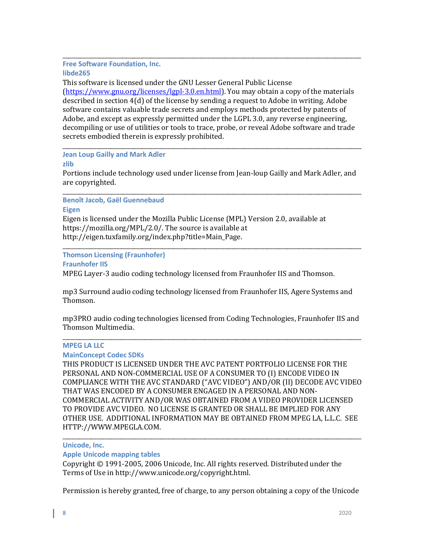#### \_\_\_\_\_\_\_\_\_\_\_\_\_\_\_\_\_\_\_\_\_\_\_\_\_\_\_\_\_\_\_\_\_\_\_\_\_\_\_\_\_\_\_\_\_\_\_\_\_\_\_\_\_\_\_\_\_\_\_\_\_\_\_\_\_\_\_\_\_\_\_\_\_\_\_\_\_\_\_\_\_\_\_\_\_\_\_\_\_\_\_\_\_\_\_\_\_\_\_\_\_\_\_\_\_ **Free Software Foundation, Inc. libde265**

This software is licensed under the GNU Lesser General Public License [\(https://www.gnu.org/licenses/lgpl-3.0.en.html\)](https://www.gnu.org/licenses/lgpl-3.0.en.html). You may obtain a copy of the materials described in section 4(d) of the license by sending a request to Adobe in writing. Adobe software contains valuable trade secrets and employs methods protected by patents of Adobe, and except as expressly permitted under the LGPL 3.0, any reverse engineering, decompiling or use of utilities or tools to trace, probe, or reveal Adobe software and trade secrets embodied therein is expressly prohibited.

#### \_\_\_\_\_\_\_\_\_\_\_\_\_\_\_\_\_\_\_\_\_\_\_\_\_\_\_\_\_\_\_\_\_\_\_\_\_\_\_\_\_\_\_\_\_\_\_\_\_\_\_\_\_\_\_\_\_\_\_\_\_\_\_\_\_\_\_\_\_\_\_\_\_\_\_\_\_\_\_\_\_\_\_\_\_\_\_\_\_\_\_\_\_\_\_\_\_\_\_\_\_\_\_\_\_ **Jean Loup Gailly and Mark Adler**

#### **zlib**

Portions include technology used under license from Jean-loup Gailly and Mark Adler, and are copyrighted.

\_\_\_\_\_\_\_\_\_\_\_\_\_\_\_\_\_\_\_\_\_\_\_\_\_\_\_\_\_\_\_\_\_\_\_\_\_\_\_\_\_\_\_\_\_\_\_\_\_\_\_\_\_\_\_\_\_\_\_\_\_\_\_\_\_\_\_\_\_\_\_\_\_\_\_\_\_\_\_\_\_\_\_\_\_\_\_\_\_\_\_\_\_\_\_\_\_\_\_\_\_\_\_\_\_ **Benoît Jacob, Gaël Guennebaud**

#### **Eigen**

Eigen is licensed under the Mozilla Public License (MPL) Version 2.0, available at https://mozilla.org/MPL/2.0/. The source is available at http://eigen.tuxfamily.org/index.php?title=Main\_Page.

#### \_\_\_\_\_\_\_\_\_\_\_\_\_\_\_\_\_\_\_\_\_\_\_\_\_\_\_\_\_\_\_\_\_\_\_\_\_\_\_\_\_\_\_\_\_\_\_\_\_\_\_\_\_\_\_\_\_\_\_\_\_\_\_\_\_\_\_\_\_\_\_\_\_\_\_\_\_\_\_\_\_\_\_\_\_\_\_\_\_\_\_\_\_\_\_\_\_\_\_\_\_\_\_\_\_ **Thomson Licensing (Fraunhofer)**

**Fraunhofer IIS**

MPEG Layer-3 audio coding technology licensed from Fraunhofer IIS and Thomson.

mp3 Surround audio coding technology licensed from Fraunhofer IIS, Agere Systems and Thomson.

mp3PRO audio coding technologies licensed from Coding Technologies, Fraunhofer IIS and Thomson Multimedia.

#### \_\_\_\_\_\_\_\_\_\_\_\_\_\_\_\_\_\_\_\_\_\_\_\_\_\_\_\_\_\_\_\_\_\_\_\_\_\_\_\_\_\_\_\_\_\_\_\_\_\_\_\_\_\_\_\_\_\_\_\_\_\_\_\_\_\_\_\_\_\_\_\_\_\_\_\_\_\_\_\_\_\_\_\_\_\_\_\_\_\_\_\_\_\_\_\_\_\_\_\_\_\_\_\_\_ **MPEG LA LLC**

## **MainConcept Codec SDKs**

THIS PRODUCT IS LICENSED UNDER THE AVC PATENT PORTFOLIO LICENSE FOR THE PERSONAL AND NON-COMMERCIAL USE OF A CONSUMER TO (I) ENCODE VIDEO IN COMPLIANCE WITH THE AVC STANDARD ("AVC VIDEO") AND/OR (II) DECODE AVC VIDEO THAT WAS ENCODED BY A CONSUMER ENGAGED IN A PERSONAL AND NON-COMMERCIAL ACTIVITY AND/OR WAS OBTAINED FROM A VIDEO PROVIDER LICENSED TO PROVIDE AVC VIDEO. NO LICENSE IS GRANTED OR SHALL BE IMPLIED FOR ANY OTHER USE. ADDITIONAL INFORMATION MAY BE OBTAINED FROM MPEG LA, L.L.C. SEE HTTP://WWW.MPEGLA.COM.

#### \_\_\_\_\_\_\_\_\_\_\_\_\_\_\_\_\_\_\_\_\_\_\_\_\_\_\_\_\_\_\_\_\_\_\_\_\_\_\_\_\_\_\_\_\_\_\_\_\_\_\_\_\_\_\_\_\_\_\_\_\_\_\_\_\_\_\_\_\_\_\_\_\_\_\_\_\_\_\_\_\_\_\_\_\_\_\_\_\_\_\_\_\_\_\_\_\_\_\_\_\_\_\_\_\_ **Unicode, Inc.**

## **Apple Unicode mapping tables**

Copyright © 1991-2005, 2006 Unicode, Inc. All rights reserved. Distributed under the Terms of Use in http://www.unicode.org/copyright.html.

Permission is hereby granted, free of charge, to any person obtaining a copy of the Unicode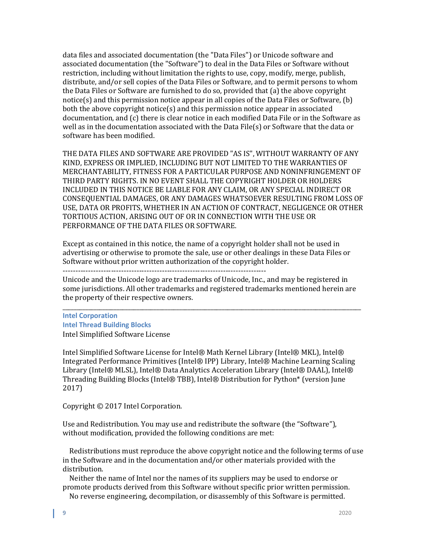data files and associated documentation (the "Data Files") or Unicode software and associated documentation (the "Software") to deal in the Data Files or Software without restriction, including without limitation the rights to use, copy, modify, merge, publish, distribute, and/or sell copies of the Data Files or Software, and to permit persons to whom the Data Files or Software are furnished to do so, provided that (a) the above copyright notice(s) and this permission notice appear in all copies of the Data Files or Software, (b) both the above copyright notice(s) and this permission notice appear in associated documentation, and (c) there is clear notice in each modified Data File or in the Software as well as in the documentation associated with the Data File(s) or Software that the data or software has been modified.

THE DATA FILES AND SOFTWARE ARE PROVIDED "AS IS", WITHOUT WARRANTY OF ANY KIND, EXPRESS OR IMPLIED, INCLUDING BUT NOT LIMITED TO THE WARRANTIES OF MERCHANTABILITY, FITNESS FOR A PARTICULAR PURPOSE AND NONINFRINGEMENT OF THIRD PARTY RIGHTS. IN NO EVENT SHALL THE COPYRIGHT HOLDER OR HOLDERS INCLUDED IN THIS NOTICE BE LIABLE FOR ANY CLAIM, OR ANY SPECIAL INDIRECT OR CONSEQUENTIAL DAMAGES, OR ANY DAMAGES WHATSOEVER RESULTING FROM LOSS OF USE, DATA OR PROFITS, WHETHER IN AN ACTION OF CONTRACT, NEGLIGENCE OR OTHER TORTIOUS ACTION, ARISING OUT OF OR IN CONNECTION WITH THE USE OR PERFORMANCE OF THE DATA FILES OR SOFTWARE.

Except as contained in this notice, the name of a copyright holder shall not be used in advertising or otherwise to promote the sale, use or other dealings in these Data Files or Software without prior written authorization of the copyright holder.

--------------------------------------------------------------------------------

Unicode and the Unicode logo are trademarks of Unicode, Inc., and may be registered in some jurisdictions. All other trademarks and registered trademarks mentioned herein are the property of their respective owners.

\_\_\_\_\_\_\_\_\_\_\_\_\_\_\_\_\_\_\_\_\_\_\_\_\_\_\_\_\_\_\_\_\_\_\_\_\_\_\_\_\_\_\_\_\_\_\_\_\_\_\_\_\_\_\_\_\_\_\_\_\_\_\_\_\_\_\_\_\_\_\_\_\_\_\_\_\_\_\_\_\_\_\_\_\_\_\_\_\_\_\_\_\_\_\_\_\_\_\_\_\_\_\_\_\_ **Intel Corporation Intel Thread Building Blocks** Intel Simplified Software License

Intel Simplified Software License for Intel® Math Kernel Library (Intel® MKL), Intel® Integrated Performance Primitives (Intel® IPP) Library, Intel® Machine Learning Scaling Library (Intel® MLSL), Intel® Data Analytics Acceleration Library (Intel® DAAL), Intel® Threading Building Blocks (Intel® TBB), Intel® Distribution for Python\* (version June 2017)

Copyright © 2017 Intel Corporation.

Use and Redistribution. You may use and redistribute the software (the "Software"), without modification, provided the following conditions are met:

 Redistributions must reproduce the above copyright notice and the following terms of use in the Software and in the documentation and/or other materials provided with the distribution.

 Neither the name of Intel nor the names of its suppliers may be used to endorse or promote products derived from this Software without specific prior written permission.

No reverse engineering, decompilation, or disassembly of this Software is permitted.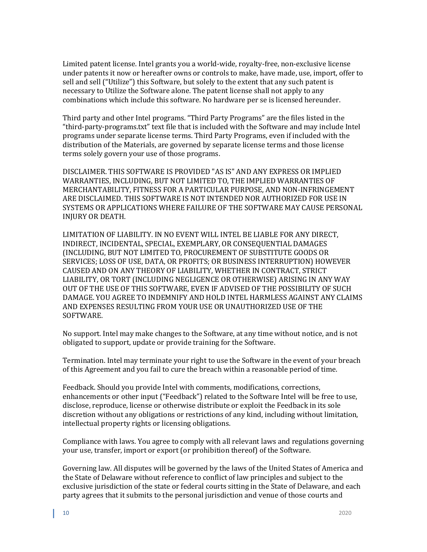Limited patent license. Intel grants you a world-wide, royalty-free, non-exclusive license under patents it now or hereafter owns or controls to make, have made, use, import, offer to sell and sell ("Utilize") this Software, but solely to the extent that any such patent is necessary to Utilize the Software alone. The patent license shall not apply to any combinations which include this software. No hardware per se is licensed hereunder.

Third party and other Intel programs. "Third Party Programs" are the files listed in the "third-party-programs.txt" text file that is included with the Software and may include Intel programs under separate license terms. Third Party Programs, even if included with the distribution of the Materials, are governed by separate license terms and those license terms solely govern your use of those programs.

DISCLAIMER. THIS SOFTWARE IS PROVIDED "AS IS" AND ANY EXPRESS OR IMPLIED WARRANTIES, INCLUDING, BUT NOT LIMITED TO, THE IMPLIED WARRANTIES OF MERCHANTABILITY, FITNESS FOR A PARTICULAR PURPOSE, AND NON-INFRINGEMENT ARE DISCLAIMED. THIS SOFTWARE IS NOT INTENDED NOR AUTHORIZED FOR USE IN SYSTEMS OR APPLICATIONS WHERE FAILURE OF THE SOFTWARE MAY CAUSE PERSONAL INJURY OR DEATH.

LIMITATION OF LIABILITY. IN NO EVENT WILL INTEL BE LIABLE FOR ANY DIRECT, INDIRECT, INCIDENTAL, SPECIAL, EXEMPLARY, OR CONSEQUENTIAL DAMAGES (INCLUDING, BUT NOT LIMITED TO, PROCUREMENT OF SUBSTITUTE GOODS OR SERVICES; LOSS OF USE, DATA, OR PROFITS; OR BUSINESS INTERRUPTION) HOWEVER CAUSED AND ON ANY THEORY OF LIABILITY, WHETHER IN CONTRACT, STRICT LIABILITY, OR TORT (INCLUDING NEGLIGENCE OR OTHERWISE) ARISING IN ANY WAY OUT OF THE USE OF THIS SOFTWARE, EVEN IF ADVISED OF THE POSSIBILITY OF SUCH DAMAGE. YOU AGREE TO INDEMNIFY AND HOLD INTEL HARMLESS AGAINST ANY CLAIMS AND EXPENSES RESULTING FROM YOUR USE OR UNAUTHORIZED USE OF THE SOFTWARE.

No support. Intel may make changes to the Software, at any time without notice, and is not obligated to support, update or provide training for the Software.

Termination. Intel may terminate your right to use the Software in the event of your breach of this Agreement and you fail to cure the breach within a reasonable period of time.

Feedback. Should you provide Intel with comments, modifications, corrections, enhancements or other input ("Feedback") related to the Software Intel will be free to use, disclose, reproduce, license or otherwise distribute or exploit the Feedback in its sole discretion without any obligations or restrictions of any kind, including without limitation, intellectual property rights or licensing obligations.

Compliance with laws. You agree to comply with all relevant laws and regulations governing your use, transfer, import or export (or prohibition thereof) of the Software.

Governing law. All disputes will be governed by the laws of the United States of America and the State of Delaware without reference to conflict of law principles and subject to the exclusive jurisdiction of the state or federal courts sitting in the State of Delaware, and each party agrees that it submits to the personal jurisdiction and venue of those courts and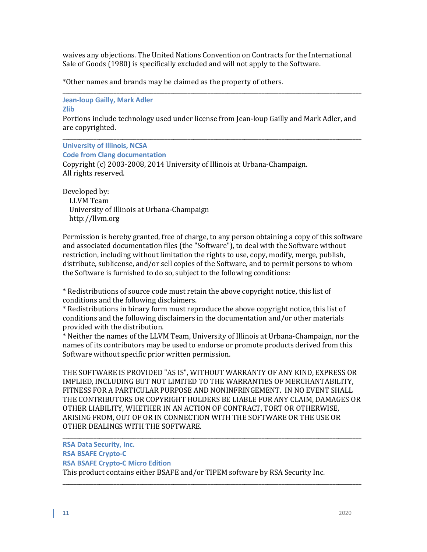waives any objections. The United Nations Convention on Contracts for the International Sale of Goods (1980) is specifically excluded and will not apply to the Software.

\*Other names and brands may be claimed as the property of others.

\_\_\_\_\_\_\_\_\_\_\_\_\_\_\_\_\_\_\_\_\_\_\_\_\_\_\_\_\_\_\_\_\_\_\_\_\_\_\_\_\_\_\_\_\_\_\_\_\_\_\_\_\_\_\_\_\_\_\_\_\_\_\_\_\_\_\_\_\_\_\_\_\_\_\_\_\_\_\_\_\_\_\_\_\_\_\_\_\_\_\_\_\_\_\_\_\_\_\_\_\_\_\_\_\_ **Jean-loup Gailly, Mark Adler Zlib**

Portions include technology used under license from Jean-loup Gailly and Mark Adler, and are copyrighted.

\_\_\_\_\_\_\_\_\_\_\_\_\_\_\_\_\_\_\_\_\_\_\_\_\_\_\_\_\_\_\_\_\_\_\_\_\_\_\_\_\_\_\_\_\_\_\_\_\_\_\_\_\_\_\_\_\_\_\_\_\_\_\_\_\_\_\_\_\_\_\_\_\_\_\_\_\_\_\_\_\_\_\_\_\_\_\_\_\_\_\_\_\_\_\_\_\_\_\_\_\_\_\_\_\_ **University of Illinois, NCSA Code from Clang documentation** 

Copyright (c) 2003-2008, 2014 University of Illinois at Urbana-Champaign. All rights reserved.

Developed by:

 LLVM Team University of Illinois at Urbana-Champaign http://llvm.org

Permission is hereby granted, free of charge, to any person obtaining a copy of this software and associated documentation files (the "Software"), to deal with the Software without restriction, including without limitation the rights to use, copy, modify, merge, publish, distribute, sublicense, and/or sell copies of the Software, and to permit persons to whom the Software is furnished to do so, subject to the following conditions:

\* Redistributions of source code must retain the above copyright notice, this list of conditions and the following disclaimers.

\* Redistributions in binary form must reproduce the above copyright notice, this list of conditions and the following disclaimers in the documentation and/or other materials provided with the distribution.

\* Neither the names of the LLVM Team, University of Illinois at Urbana-Champaign, nor the names of its contributors may be used to endorse or promote products derived from this Software without specific prior written permission.

THE SOFTWARE IS PROVIDED "AS IS", WITHOUT WARRANTY OF ANY KIND, EXPRESS OR IMPLIED, INCLUDING BUT NOT LIMITED TO THE WARRANTIES OF MERCHANTABILITY, FITNESS FOR A PARTICULAR PURPOSE AND NONINFRINGEMENT. IN NO EVENT SHALL THE CONTRIBUTORS OR COPYRIGHT HOLDERS BE LIABLE FOR ANY CLAIM, DAMAGES OR OTHER LIABILITY, WHETHER IN AN ACTION OF CONTRACT, TORT OR OTHERWISE, ARISING FROM, OUT OF OR IN CONNECTION WITH THE SOFTWARE OR THE USE OR OTHER DEALINGS WITH THE SOFTWARE.

\_\_\_\_\_\_\_\_\_\_\_\_\_\_\_\_\_\_\_\_\_\_\_\_\_\_\_\_\_\_\_\_\_\_\_\_\_\_\_\_\_\_\_\_\_\_\_\_\_\_\_\_\_\_\_\_\_\_\_\_\_\_\_\_\_\_\_\_\_\_\_\_\_\_\_\_\_\_\_\_\_\_\_\_\_\_\_\_\_\_\_\_\_\_\_\_\_\_\_\_\_\_\_\_\_

\_\_\_\_\_\_\_\_\_\_\_\_\_\_\_\_\_\_\_\_\_\_\_\_\_\_\_\_\_\_\_\_\_\_\_\_\_\_\_\_\_\_\_\_\_\_\_\_\_\_\_\_\_\_\_\_\_\_\_\_\_\_\_\_\_\_\_\_\_\_\_\_\_\_\_\_\_\_\_\_\_\_\_\_\_\_\_\_\_\_\_\_\_\_\_\_\_\_\_\_\_\_\_\_\_ **RSA Data Security, Inc. RSA BSAFE Crypto-C RSA BSAFE Crypto-C Micro Edition**

This product contains either BSAFE and/or TIPEM software by RSA Security Inc.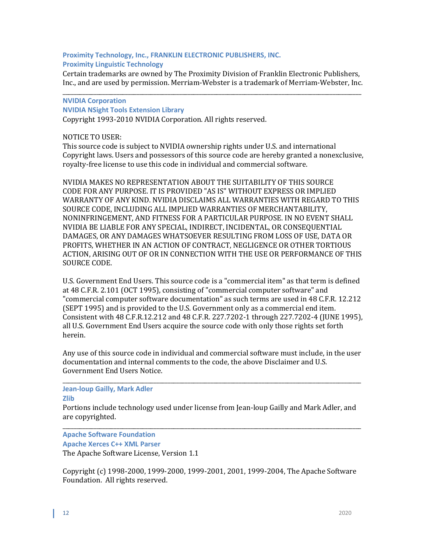## **Proximity Technology, Inc., FRANKLIN ELECTRONIC PUBLISHERS, INC. Proximity Linguistic Technology**

Certain trademarks are owned by The Proximity Division of Franklin Electronic Publishers, Inc., and are used by permission. Merriam-Webster is a trademark of Merriam-Webster, Inc.

# \_\_\_\_\_\_\_\_\_\_\_\_\_\_\_\_\_\_\_\_\_\_\_\_\_\_\_\_\_\_\_\_\_\_\_\_\_\_\_\_\_\_\_\_\_\_\_\_\_\_\_\_\_\_\_\_\_\_\_\_\_\_\_\_\_\_\_\_\_\_\_\_\_\_\_\_\_\_\_\_\_\_\_\_\_\_\_\_\_\_\_\_\_\_\_\_\_\_\_\_\_\_\_\_\_ **NVIDIA Corporation NVIDIA NSight Tools Extension Library**

Copyright 1993-2010 NVIDIA Corporation. All rights reserved.

## NOTICE TO USER:

This source code is subject to NVIDIA ownership rights under U.S. and international Copyright laws. Users and possessors of this source code are hereby granted a nonexclusive, royalty-free license to use this code in individual and commercial software.

NVIDIA MAKES NO REPRESENTATION ABOUT THE SUITABILITY OF THIS SOURCE CODE FOR ANY PURPOSE. IT IS PROVIDED "AS IS" WITHOUT EXPRESS OR IMPLIED WARRANTY OF ANY KIND. NVIDIA DISCLAIMS ALL WARRANTIES WITH REGARD TO THIS SOURCE CODE, INCLUDING ALL IMPLIED WARRANTIES OF MERCHANTABILITY, NONINFRINGEMENT, AND FITNESS FOR A PARTICULAR PURPOSE. IN NO EVENT SHALL NVIDIA BE LIABLE FOR ANY SPECIAL, INDIRECT, INCIDENTAL, OR CONSEQUENTIAL DAMAGES, OR ANY DAMAGES WHATSOEVER RESULTING FROM LOSS OF USE, DATA OR PROFITS, WHETHER IN AN ACTION OF CONTRACT, NEGLIGENCE OR OTHER TORTIOUS ACTION, ARISING OUT OF OR IN CONNECTION WITH THE USE OR PERFORMANCE OF THIS SOURCE CODE.

U.S. Government End Users. This source code is a "commercial item" as that term is defined at 48 C.F.R. 2.101 (OCT 1995), consisting of "commercial computer software" and "commercial computer software documentation" as such terms are used in 48 C.F.R. 12.212 (SEPT 1995) and is provided to the U.S. Government only as a commercial end item. Consistent with 48 C.F.R.12.212 and 48 C.F.R. 227.7202-1 through 227.7202-4 (JUNE 1995), all U.S. Government End Users acquire the source code with only those rights set forth herein.

Any use of this source code in individual and commercial software must include, in the user documentation and internal comments to the code, the above Disclaimer and U.S. Government End Users Notice.

\_\_\_\_\_\_\_\_\_\_\_\_\_\_\_\_\_\_\_\_\_\_\_\_\_\_\_\_\_\_\_\_\_\_\_\_\_\_\_\_\_\_\_\_\_\_\_\_\_\_\_\_\_\_\_\_\_\_\_\_\_\_\_\_\_\_\_\_\_\_\_\_\_\_\_\_\_\_\_\_\_\_\_\_\_\_\_\_\_\_\_\_\_\_\_\_\_\_\_\_\_\_\_\_\_ **Jean-loup Gailly, Mark Adler Zlib**

Portions include technology used under license from Jean-loup Gailly and Mark Adler, and are copyrighted.

\_\_\_\_\_\_\_\_\_\_\_\_\_\_\_\_\_\_\_\_\_\_\_\_\_\_\_\_\_\_\_\_\_\_\_\_\_\_\_\_\_\_\_\_\_\_\_\_\_\_\_\_\_\_\_\_\_\_\_\_\_\_\_\_\_\_\_\_\_\_\_\_\_\_\_\_\_\_\_\_\_\_\_\_\_\_\_\_\_\_\_\_\_\_\_\_\_\_\_\_\_\_\_\_\_ **Apache Software Foundation Apache Xerces C++ XML Parser** The Apache Software License, Version 1.1

Copyright (c) 1998-2000, 1999-2000, 1999-2001, 2001, 1999-2004, The Apache Software Foundation. All rights reserved.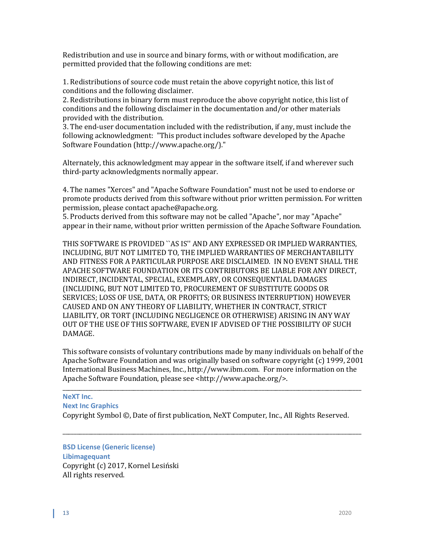Redistribution and use in source and binary forms, with or without modification, are permitted provided that the following conditions are met:

1. Redistributions of source code must retain the above copyright notice, this list of conditions and the following disclaimer.

2. Redistributions in binary form must reproduce the above copyright notice, this list of conditions and the following disclaimer in the documentation and/or other materials provided with the distribution.

3. The end-user documentation included with the redistribution, if any, must include the following acknowledgment: "This product includes software developed by the Apache Software Foundation (http://www.apache.org/)."

Alternately, this acknowledgment may appear in the software itself, if and wherever such third-party acknowledgments normally appear.

4. The names "Xerces" and "Apache Software Foundation" must not be used to endorse or promote products derived from this software without prior written permission. For written permission, please contact apache@apache.org.

5. Products derived from this software may not be called "Apache", nor may "Apache" appear in their name, without prior written permission of the Apache Software Foundation.

THIS SOFTWARE IS PROVIDED ``AS IS'' AND ANY EXPRESSED OR IMPLIED WARRANTIES, INCLUDING, BUT NOT LIMITED TO, THE IMPLIED WARRANTIES OF MERCHANTABILITY AND FITNESS FOR A PARTICULAR PURPOSE ARE DISCLAIMED. IN NO EVENT SHALL THE APACHE SOFTWARE FOUNDATION OR ITS CONTRIBUTORS BE LIABLE FOR ANY DIRECT, INDIRECT, INCIDENTAL, SPECIAL, EXEMPLARY, OR CONSEQUENTIAL DAMAGES (INCLUDING, BUT NOT LIMITED TO, PROCUREMENT OF SUBSTITUTE GOODS OR SERVICES; LOSS OF USE, DATA, OR PROFITS; OR BUSINESS INTERRUPTION) HOWEVER CAUSED AND ON ANY THEORY OF LIABILITY, WHETHER IN CONTRACT, STRICT LIABILITY, OR TORT (INCLUDING NEGLIGENCE OR OTHERWISE) ARISING IN ANY WAY OUT OF THE USE OF THIS SOFTWARE, EVEN IF ADVISED OF THE POSSIBILITY OF SUCH DAMAGE.

This software consists of voluntary contributions made by many individuals on behalf of the Apache Software Foundation and was originally based on software copyright (c) 1999, 2001 International Business Machines, Inc., http://www.ibm.com. For more information on the Apache Software Foundation, please see <http://www.apache.org/>.

# \_\_\_\_\_\_\_\_\_\_\_\_\_\_\_\_\_\_\_\_\_\_\_\_\_\_\_\_\_\_\_\_\_\_\_\_\_\_\_\_\_\_\_\_\_\_\_\_\_\_\_\_\_\_\_\_\_\_\_\_\_\_\_\_\_\_\_\_\_\_\_\_\_\_\_\_\_\_\_\_\_\_\_\_\_\_\_\_\_\_\_\_\_\_\_\_\_\_\_\_\_\_\_\_\_ **NeXT Inc. Next Inc Graphics**

Copyright Symbol ©, Date of first publication, NeXT Computer, Inc., All Rights Reserved.

\_\_\_\_\_\_\_\_\_\_\_\_\_\_\_\_\_\_\_\_\_\_\_\_\_\_\_\_\_\_\_\_\_\_\_\_\_\_\_\_\_\_\_\_\_\_\_\_\_\_\_\_\_\_\_\_\_\_\_\_\_\_\_\_\_\_\_\_\_\_\_\_\_\_\_\_\_\_\_\_\_\_\_\_\_\_\_\_\_\_\_\_\_\_\_\_\_\_\_\_\_\_\_\_\_

**BSD License (Generic license) Libimagequant** Copyright (c) 2017, Kornel Lesiński All rights reserved.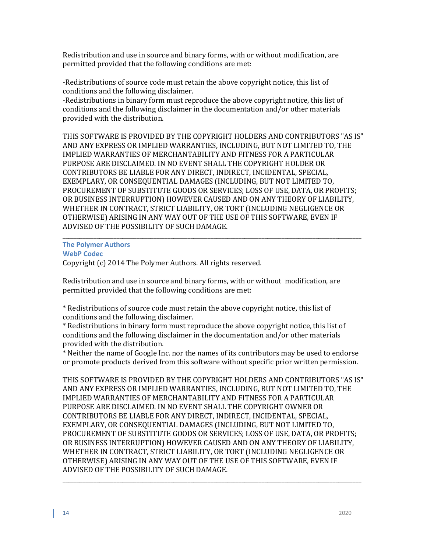Redistribution and use in source and binary forms, with or without modification, are permitted provided that the following conditions are met:

-Redistributions of source code must retain the above copyright notice, this list of conditions and the following disclaimer.

-Redistributions in binary form must reproduce the above copyright notice, this list of conditions and the following disclaimer in the documentation and/or other materials provided with the distribution.

THIS SOFTWARE IS PROVIDED BY THE COPYRIGHT HOLDERS AND CONTRIBUTORS "AS IS" AND ANY EXPRESS OR IMPLIED WARRANTIES, INCLUDING, BUT NOT LIMITED TO, THE IMPLIED WARRANTIES OF MERCHANTABILITY AND FITNESS FOR A PARTICULAR PURPOSE ARE DISCLAIMED. IN NO EVENT SHALL THE COPYRIGHT HOLDER OR CONTRIBUTORS BE LIABLE FOR ANY DIRECT, INDIRECT, INCIDENTAL, SPECIAL, EXEMPLARY, OR CONSEQUENTIAL DAMAGES (INCLUDING, BUT NOT LIMITED TO, PROCUREMENT OF SUBSTITUTE GOODS OR SERVICES; LOSS OF USE, DATA, OR PROFITS; OR BUSINESS INTERRUPTION) HOWEVER CAUSED AND ON ANY THEORY OF LIABILITY, WHETHER IN CONTRACT, STRICT LIABILITY, OR TORT (INCLUDING NEGLIGENCE OR OTHERWISE) ARISING IN ANY WAY OUT OF THE USE OF THIS SOFTWARE, EVEN IF ADVISED OF THE POSSIBILITY OF SUCH DAMAGE.

# \_\_\_\_\_\_\_\_\_\_\_\_\_\_\_\_\_\_\_\_\_\_\_\_\_\_\_\_\_\_\_\_\_\_\_\_\_\_\_\_\_\_\_\_\_\_\_\_\_\_\_\_\_\_\_\_\_\_\_\_\_\_\_\_\_\_\_\_\_\_\_\_\_\_\_\_\_\_\_\_\_\_\_\_\_\_\_\_\_\_\_\_\_\_\_\_\_\_\_\_\_\_\_\_\_ **The Polymer Authors**

**WebP Codec**

Copyright (c) 2014 The Polymer Authors. All rights reserved.

Redistribution and use in source and binary forms, with or without modification, are permitted provided that the following conditions are met:

\* Redistributions of source code must retain the above copyright notice, this list of conditions and the following disclaimer.

\* Redistributions in binary form must reproduce the above copyright notice, this list of conditions and the following disclaimer in the documentation and/or other materials provided with the distribution.

\* Neither the name of Google Inc. nor the names of its contributors may be used to endorse or promote products derived from this software without specific prior written permission.

THIS SOFTWARE IS PROVIDED BY THE COPYRIGHT HOLDERS AND CONTRIBUTORS "AS IS" AND ANY EXPRESS OR IMPLIED WARRANTIES, INCLUDING, BUT NOT LIMITED TO, THE IMPLIED WARRANTIES OF MERCHANTABILITY AND FITNESS FOR A PARTICULAR PURPOSE ARE DISCLAIMED. IN NO EVENT SHALL THE COPYRIGHT OWNER OR CONTRIBUTORS BE LIABLE FOR ANY DIRECT, INDIRECT, INCIDENTAL, SPECIAL, EXEMPLARY, OR CONSEQUENTIAL DAMAGES (INCLUDING, BUT NOT LIMITED TO, PROCUREMENT OF SUBSTITUTE GOODS OR SERVICES; LOSS OF USE, DATA, OR PROFITS; OR BUSINESS INTERRUPTION) HOWEVER CAUSED AND ON ANY THEORY OF LIABILITY, WHETHER IN CONTRACT, STRICT LIABILITY, OR TORT (INCLUDING NEGLIGENCE OR OTHERWISE) ARISING IN ANY WAY OUT OF THE USE OF THIS SOFTWARE, EVEN IF ADVISED OF THE POSSIBILITY OF SUCH DAMAGE.

\_\_\_\_\_\_\_\_\_\_\_\_\_\_\_\_\_\_\_\_\_\_\_\_\_\_\_\_\_\_\_\_\_\_\_\_\_\_\_\_\_\_\_\_\_\_\_\_\_\_\_\_\_\_\_\_\_\_\_\_\_\_\_\_\_\_\_\_\_\_\_\_\_\_\_\_\_\_\_\_\_\_\_\_\_\_\_\_\_\_\_\_\_\_\_\_\_\_\_\_\_\_\_\_\_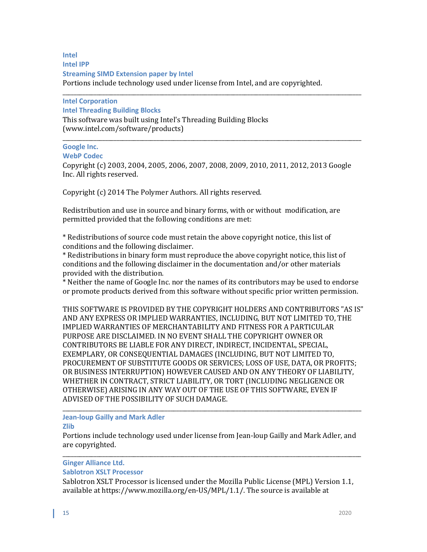## **Intel Intel IPP Streaming SIMD Extension paper by Intel** Portions include technology used under license from Intel, and are copyrighted.

\_\_\_\_\_\_\_\_\_\_\_\_\_\_\_\_\_\_\_\_\_\_\_\_\_\_\_\_\_\_\_\_\_\_\_\_\_\_\_\_\_\_\_\_\_\_\_\_\_\_\_\_\_\_\_\_\_\_\_\_\_\_\_\_\_\_\_\_\_\_\_\_\_\_\_\_\_\_\_\_\_\_\_\_\_\_\_\_\_\_\_\_\_\_\_\_\_\_\_\_\_\_\_\_\_ **Intel Corporation Intel Threading Building Blocks** This software was built using Intel's Threading Building Blocks (www.intel.com/software/products)

#### \_\_\_\_\_\_\_\_\_\_\_\_\_\_\_\_\_\_\_\_\_\_\_\_\_\_\_\_\_\_\_\_\_\_\_\_\_\_\_\_\_\_\_\_\_\_\_\_\_\_\_\_\_\_\_\_\_\_\_\_\_\_\_\_\_\_\_\_\_\_\_\_\_\_\_\_\_\_\_\_\_\_\_\_\_\_\_\_\_\_\_\_\_\_\_\_\_\_\_\_\_\_\_\_\_ **Google Inc.**

#### **WebP Codec**

Copyright (c) 2003, 2004, 2005, 2006, 2007, 2008, 2009, 2010, 2011, 2012, 2013 Google Inc. All rights reserved.

Copyright (c) 2014 The Polymer Authors. All rights reserved.

Redistribution and use in source and binary forms, with or without modification, are permitted provided that the following conditions are met:

\* Redistributions of source code must retain the above copyright notice, this list of conditions and the following disclaimer.

\* Redistributions in binary form must reproduce the above copyright notice, this list of conditions and the following disclaimer in the documentation and/or other materials provided with the distribution.

\* Neither the name of Google Inc. nor the names of its contributors may be used to endorse or promote products derived from this software without specific prior written permission.

THIS SOFTWARE IS PROVIDED BY THE COPYRIGHT HOLDERS AND CONTRIBUTORS "AS IS" AND ANY EXPRESS OR IMPLIED WARRANTIES, INCLUDING, BUT NOT LIMITED TO, THE IMPLIED WARRANTIES OF MERCHANTABILITY AND FITNESS FOR A PARTICULAR PURPOSE ARE DISCLAIMED. IN NO EVENT SHALL THE COPYRIGHT OWNER OR CONTRIBUTORS BE LIABLE FOR ANY DIRECT, INDIRECT, INCIDENTAL, SPECIAL, EXEMPLARY, OR CONSEQUENTIAL DAMAGES (INCLUDING, BUT NOT LIMITED TO, PROCUREMENT OF SUBSTITUTE GOODS OR SERVICES; LOSS OF USE, DATA, OR PROFITS; OR BUSINESS INTERRUPTION) HOWEVER CAUSED AND ON ANY THEORY OF LIABILITY, WHETHER IN CONTRACT, STRICT LIABILITY, OR TORT (INCLUDING NEGLIGENCE OR OTHERWISE) ARISING IN ANY WAY OUT OF THE USE OF THIS SOFTWARE, EVEN IF ADVISED OF THE POSSIBILITY OF SUCH DAMAGE.

#### \_\_\_\_\_\_\_\_\_\_\_\_\_\_\_\_\_\_\_\_\_\_\_\_\_\_\_\_\_\_\_\_\_\_\_\_\_\_\_\_\_\_\_\_\_\_\_\_\_\_\_\_\_\_\_\_\_\_\_\_\_\_\_\_\_\_\_\_\_\_\_\_\_\_\_\_\_\_\_\_\_\_\_\_\_\_\_\_\_\_\_\_\_\_\_\_\_\_\_\_\_\_\_\_\_ **Jean-loup Gailly and Mark Adler**

#### **Zlib**

Portions include technology used under license from Jean-loup Gailly and Mark Adler, and are copyrighted.

#### \_\_\_\_\_\_\_\_\_\_\_\_\_\_\_\_\_\_\_\_\_\_\_\_\_\_\_\_\_\_\_\_\_\_\_\_\_\_\_\_\_\_\_\_\_\_\_\_\_\_\_\_\_\_\_\_\_\_\_\_\_\_\_\_\_\_\_\_\_\_\_\_\_\_\_\_\_\_\_\_\_\_\_\_\_\_\_\_\_\_\_\_\_\_\_\_\_\_\_\_\_\_\_\_\_ **Ginger Alliance Ltd.**

## **Sablotron XSLT Processor**

Sablotron XSLT Processor is licensed under the Mozilla Public License (MPL) Version 1.1, available at https://www.mozilla.org/en-US/MPL/1.1/. The source is available at